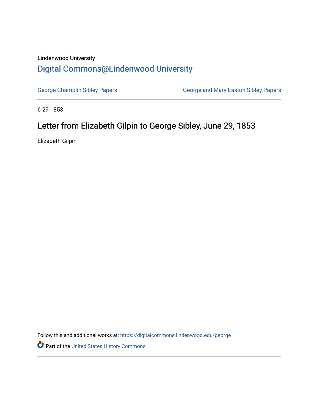## Lindenwood University [Digital Commons@Lindenwood University](https://digitalcommons.lindenwood.edu/)

[George Champlin Sibley Papers](https://digitalcommons.lindenwood.edu/george) **George and Mary Easton Sibley Papers** George and Mary Easton Sibley Papers

6-29-1853

# Letter from Elizabeth Gilpin to George Sibley, June 29, 1853

Elizabeth Gilpin

Follow this and additional works at: [https://digitalcommons.lindenwood.edu/george](https://digitalcommons.lindenwood.edu/george?utm_source=digitalcommons.lindenwood.edu%2Fgeorge%2F331&utm_medium=PDF&utm_campaign=PDFCoverPages)

Part of the [United States History Commons](http://network.bepress.com/hgg/discipline/495?utm_source=digitalcommons.lindenwood.edu%2Fgeorge%2F331&utm_medium=PDF&utm_campaign=PDFCoverPages)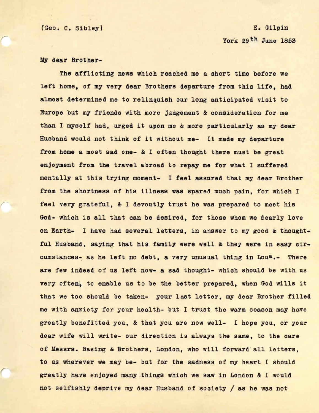### E. Gilpin York 29th June 1853

### My **dear** Brother-

*r* 

The afflicting **news** which reached me a short time before we left home, of my very dear Brothers departure from this life, had almost determined me to relinquish our long anticipated visit to Europe but my friends with more Judgement & oonsideration for me than I myself had, urged it upon me & more particularly as my dear Husband would not think of it without me- It made my departure from home a most sad one- & I often thought there must be great enjoyment from the travel abroad to repay me for what I suffered mentally at this trying moment- I feel assured that my dear Brother from the shortness of hie illness was spared much pain, for whioh I feel very grateful, & I devoutly trust he was prepared to meet hie God- which is all that can be desired, for those whom we dearly love on Earth- I have had several letters, in answer to my good & thoughtful Husband, saying that his family were well & they were in easy circumstances- as he left no debt, a very unusual thing in Lou<sup>a</sup>.- There are few indeed of us left now- a sad thought- which should be with us very often, to enable us to be the better prepared, when God wills it that we too should be taken- your last letter, my dear Brother filled me with anxiety for your health- but I trust the warm season may have greatly benefitted you, & that you are now well- I hope you, or your dear wife will write- our direction is always the same, to the care of Messrs. Basing & Brothers, London, who will forward· a11 letters, to us wherever we may be- but for the sadness of my heart I should greatly have enjoyed many things which we saw in London & I would not selfishly deprive my dear Husband of society/ as he was not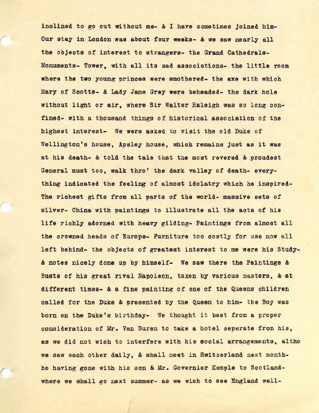inclined to go out without me- & I have sometimes joined him-Our stay in London was about four **weeks-** & **we saw** nearly all the objects of interest to strangers- the Grand Cathedrals-Monuments- Tower, with all its sad associations- the little room where the two young princes were smothered- the axe with which Mary of Scotts- & Lady Jane Grey **were** beheaded- the dark hole without light or air, where Sir Walter Raleigh was so long confined- with a thousand things of historical association of the highest interest- We were asked to visit the old Duke of Wellington's house, Apsley house, which remains just as it was at his death- & told the tale that the most revered & proudest General must too, walk thro' the dark valley of death- everything indicated the feeling of almost idolatry which he inspired-The richest gifts from all parts of the world- massive sets of silver- China with paintings to illustrate all the acts of his life richly adorned with heavy gilding- Paintings from almost all the crowned heads of Europe- Furniture too costly for use now all left behind- the objects of greatest interest to me **were** his Study- & notes nicely done up by himself- We saw there the Paintings & Busts of hie great rival Napoleon, taken by various masters, & at different times- & a fine painting of one of the Queens children called for the Duke & presented by the Queen to him- the Boy was born on the Duke's birthday- We thought it best from a proper consideration of Mr. Van Buren to take a hotel separate from his, as we did not wish to interfere with his eocial arrangements, altho we saw each other daily, & shall meet in Switzerland next monthhe having gone with hie son & Mr. Governier Kemple to Scotlandwhere we shall go next summer- as we wish to see England well-

*r*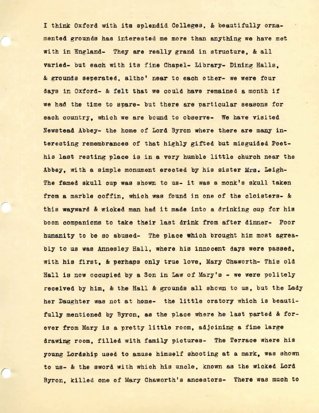I think Oxford with its splendid Colleges, & beautifully ornamented grounds has interested me more than anything we have met with in England- They are really grand in structure, & all varied- but each with its fine Chapel- Library- Dining Halls, & grounds seperated, altho' near to each other- we were four days in Oxford- & felt that we could have remained a month if we had the time to spare- but there are particular seasons for each country, which we are bound to observe- We have visited Newstead Abbey- the home of Lord Byron where there are many interesting remembrances of that highly gifted but misguided Poethis last resting place is in a very humble little church near the Abbey, with a simple monument erected by his sister Mrs. Leigh-The famed skull cup was shown to us- it was a monk's skull taken from a marble coffin, which was found in one of the cloisters- & this **wayward** & wicked man had it made into a drinking cup for his boon companions to take their last drink from after dinner- Poor humanity to be so abused- The place which brought him most agreably to us was Annesley Hall, where his innocent days were passed, with his first, & perhaps only true love, Mary Chaworth- This old Hall is now occupied by a Son in Law of Mary's - we were politely received by him, & the Hall & grounds all shown to us, but the Lady her Daughter was not at home- the little oratory which is beautifully mentioned by Byron, as the place where he last parted & forever from Mary is a pretty little room, adjoining a fine large drawing room, filled with family pictures- The Terrace where his young Lordship used to amuse himself shooting at a mark, was shown to us- & the sword wi th which his uncle, known as the wicked Lord Byron, killed one of Mary Chaworth's ancestors- There was much to

*r* 

*r*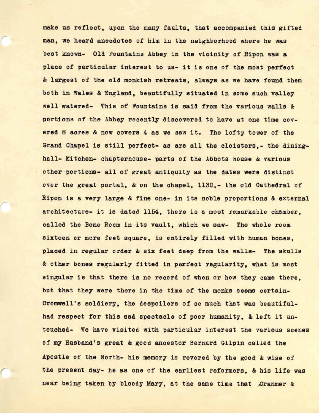make us reflect, upon the many faults, that accompanied this gifted man, we heard anecdotes of him in the neighborhood where he was best known- Old Fountains Abbey in the vicinity of Ripon was **a**  place of particular interest to us- it is one of the most perfect & largest of the old monkish retreats, always as we have found them both in Wales & England, beautifully situated in some such valley well watered- This of Fountains is said from the various walls & portions of the Abbey recently discovered to have at one time cov**ered** 8 acres & now covers 4 as we saw it. The lofty tower of the Grand Chapel is still perfect- as are all the cloisters.- the dininghall- Kitchen- chapterhouse- parts of the Abbots house & various other portions- all of great antiquity as the dates **were** distinct over the great portal, & on the chapel, 1130,- the old Cathedral of Ripon is a very large & fine one- in its noble proportions & external architecture- it is dated 1154, there is a most remarkable chamber, called the Bone Room in its vault, which we saw- The whole room sixteen or more feet square, is entirely filled with human bones, placed in regular order & six feet deep from the walls- The skulls & other bones regularly fitted in perfect regularity, what is most singular is that there is no record of when or how they came there. but that they were there in the time of the monks seems certain-Cromwell's soldiery, the despoilers of so much that was beautifulhad respect for this sad spectacle of poor humanity, & left it untouched- We have visited with particular interest the various scenes of my Husband's great & good anoestor Bernard Gilpin called the Apostle of the North- hie memory is revered by the good & **wise** of the present day- he as one of the earliest reformers, & his life was near being taken by bloody Mary, at the same time that Cranmer &

*r*